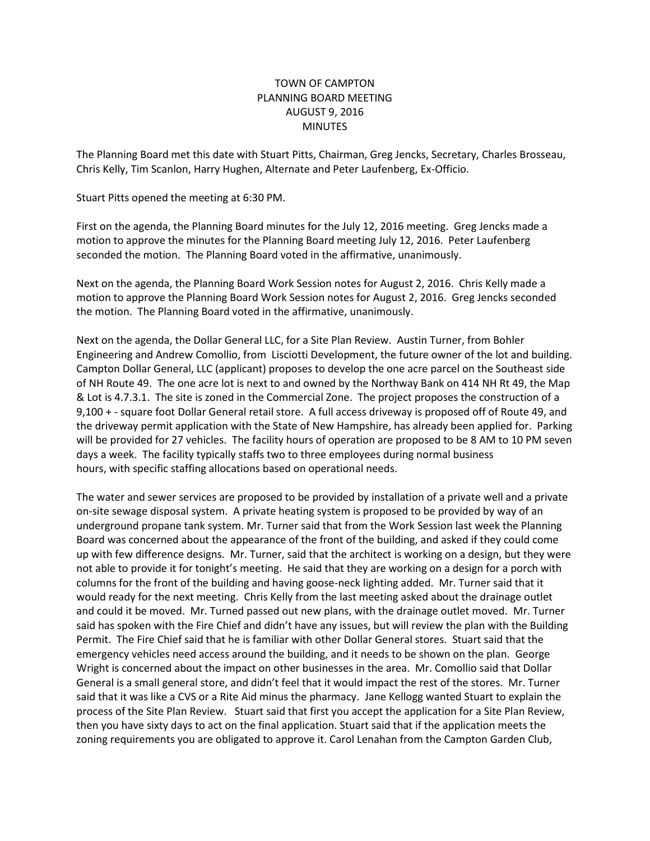## TOWN OF CAMPTON PLANNING BOARD MEETING AUGUST 9, 2016 MINUTES

The Planning Board met this date with Stuart Pitts, Chairman, Greg Jencks, Secretary, Charles Brosseau, Chris Kelly, Tim Scanlon, Harry Hughen, Alternate and Peter Laufenberg, Ex-Officio.

Stuart Pitts opened the meeting at 6:30 PM.

First on the agenda, the Planning Board minutes for the July 12, 2016 meeting. Greg Jencks made a motion to approve the minutes for the Planning Board meeting July 12, 2016. Peter Laufenberg seconded the motion. The Planning Board voted in the affirmative, unanimously.

Next on the agenda, the Planning Board Work Session notes for August 2, 2016. Chris Kelly made a motion to approve the Planning Board Work Session notes for August 2, 2016. Greg Jencks seconded the motion. The Planning Board voted in the affirmative, unanimously.

Next on the agenda, the Dollar General LLC, for a Site Plan Review. Austin Turner, from Bohler Engineering and Andrew Comollio, from Lisciotti Development, the future owner of the lot and building. Campton Dollar General, LLC (applicant) proposes to develop the one acre parcel on the Southeast side of NH Route 49. The one acre lot is next to and owned by the Northway Bank on 414 NH Rt 49, the Map & Lot is 4.7.3.1. The site is zoned in the Commercial Zone. The project proposes the construction of a 9,100 + - square foot Dollar General retail store. A full access driveway is proposed off of Route 49, and the driveway permit application with the State of New Hampshire, has already been applied for. Parking will be provided for 27 vehicles. The facility hours of operation are proposed to be 8 AM to 10 PM seven days a week. The facility typically staffs two to three employees during normal business hours, with specific staffing allocations based on operational needs.

The water and sewer services are proposed to be provided by installation of a private well and a private on-site sewage disposal system. A private heating system is proposed to be provided by way of an underground propane tank system. Mr. Turner said that from the Work Session last week the Planning Board was concerned about the appearance of the front of the building, and asked if they could come up with few difference designs. Mr. Turner, said that the architect is working on a design, but they were not able to provide it for tonight's meeting. He said that they are working on a design for a porch with columns for the front of the building and having goose-neck lighting added. Mr. Turner said that it would ready for the next meeting. Chris Kelly from the last meeting asked about the drainage outlet and could it be moved. Mr. Turned passed out new plans, with the drainage outlet moved. Mr. Turner said has spoken with the Fire Chief and didn't have any issues, but will review the plan with the Building Permit. The Fire Chief said that he is familiar with other Dollar General stores. Stuart said that the emergency vehicles need access around the building, and it needs to be shown on the plan. George Wright is concerned about the impact on other businesses in the area. Mr. Comollio said that Dollar General is a small general store, and didn't feel that it would impact the rest of the stores. Mr. Turner said that it was like a CVS or a Rite Aid minus the pharmacy. Jane Kellogg wanted Stuart to explain the process of the Site Plan Review. Stuart said that first you accept the application for a Site Plan Review, then you have sixty days to act on the final application. Stuart said that if the application meets the zoning requirements you are obligated to approve it. Carol Lenahan from the Campton Garden Club,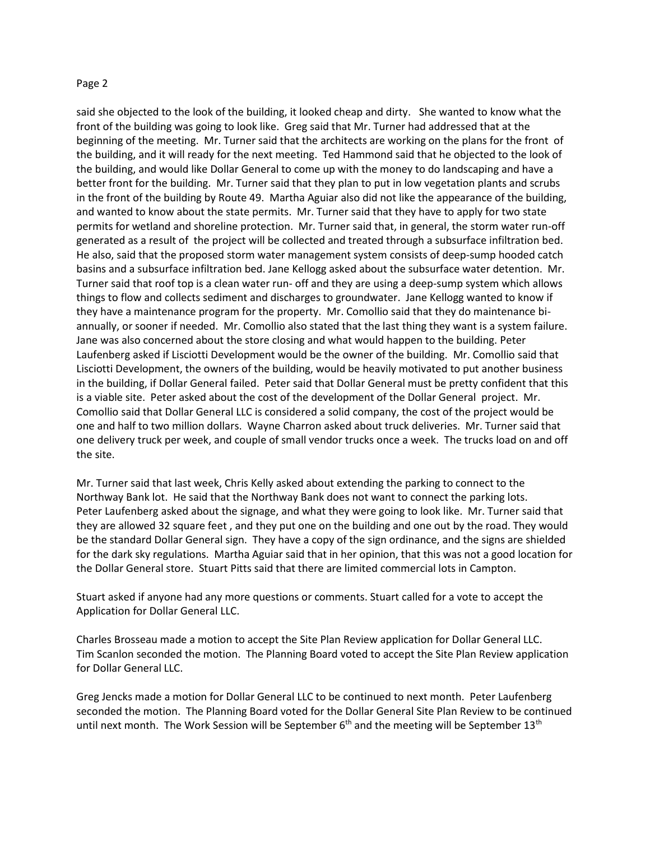## Page 2

said she objected to the look of the building, it looked cheap and dirty. She wanted to know what the front of the building was going to look like. Greg said that Mr. Turner had addressed that at the beginning of the meeting. Mr. Turner said that the architects are working on the plans for the front of the building, and it will ready for the next meeting. Ted Hammond said that he objected to the look of the building, and would like Dollar General to come up with the money to do landscaping and have a better front for the building. Mr. Turner said that they plan to put in low vegetation plants and scrubs in the front of the building by Route 49. Martha Aguiar also did not like the appearance of the building, and wanted to know about the state permits. Mr. Turner said that they have to apply for two state permits for wetland and shoreline protection. Mr. Turner said that, in general, the storm water run-off generated as a result of the project will be collected and treated through a subsurface infiltration bed. He also, said that the proposed storm water management system consists of deep-sump hooded catch basins and a subsurface infiltration bed. Jane Kellogg asked about the subsurface water detention. Mr. Turner said that roof top is a clean water run- off and they are using a deep-sump system which allows things to flow and collects sediment and discharges to groundwater. Jane Kellogg wanted to know if they have a maintenance program for the property. Mr. Comollio said that they do maintenance biannually, or sooner if needed. Mr. Comollio also stated that the last thing they want is a system failure. Jane was also concerned about the store closing and what would happen to the building. Peter Laufenberg asked if Lisciotti Development would be the owner of the building. Mr. Comollio said that Lisciotti Development, the owners of the building, would be heavily motivated to put another business in the building, if Dollar General failed. Peter said that Dollar General must be pretty confident that this is a viable site. Peter asked about the cost of the development of the Dollar General project. Mr. Comollio said that Dollar General LLC is considered a solid company, the cost of the project would be one and half to two million dollars. Wayne Charron asked about truck deliveries. Mr. Turner said that one delivery truck per week, and couple of small vendor trucks once a week. The trucks load on and off the site.

Mr. Turner said that last week, Chris Kelly asked about extending the parking to connect to the Northway Bank lot. He said that the Northway Bank does not want to connect the parking lots. Peter Laufenberg asked about the signage, and what they were going to look like. Mr. Turner said that they are allowed 32 square feet , and they put one on the building and one out by the road. They would be the standard Dollar General sign. They have a copy of the sign ordinance, and the signs are shielded for the dark sky regulations. Martha Aguiar said that in her opinion, that this was not a good location for the Dollar General store. Stuart Pitts said that there are limited commercial lots in Campton.

Stuart asked if anyone had any more questions or comments. Stuart called for a vote to accept the Application for Dollar General LLC.

Charles Brosseau made a motion to accept the Site Plan Review application for Dollar General LLC. Tim Scanlon seconded the motion. The Planning Board voted to accept the Site Plan Review application for Dollar General LLC.

Greg Jencks made a motion for Dollar General LLC to be continued to next month. Peter Laufenberg seconded the motion. The Planning Board voted for the Dollar General Site Plan Review to be continued until next month. The Work Session will be September  $6<sup>th</sup>$  and the meeting will be September 13<sup>th</sup>